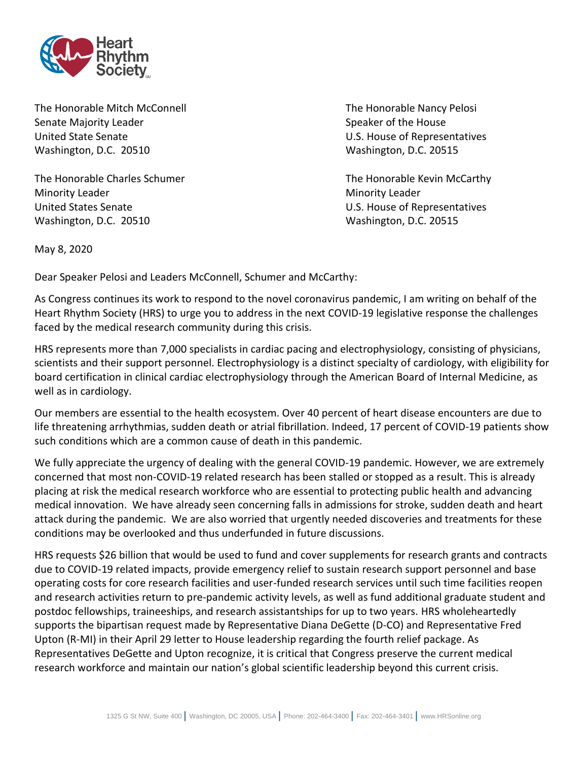

The Honorable Mitch McConnell The Honorable Nancy Pelosi Senate Majority Leader Speaker of the House Speaker of the House United State Senate U.S. House of Representatives Washington, D.C. 20510 Washington, D.C. 20515

The Honorable Charles Schumer The Honorable Kevin McCarthy Minority Leader **Minority Leader** Minority Leader United States Senate U.S. House of Representatives Washington, D.C. 20510 Washington, D.C. 20515

May 8, 2020

Dear Speaker Pelosi and Leaders McConnell, Schumer and McCarthy:

As Congress continues its work to respond to the novel coronavirus pandemic, I am writing on behalf of the Heart Rhythm Society (HRS) to urge you to address in the next COVID-19 legislative response the challenges faced by the medical research community during this crisis.

HRS represents more than 7,000 specialists in cardiac pacing and electrophysiology, consisting of physicians, scientists and their support personnel. Electrophysiology is a distinct specialty of cardiology, with eligibility for board certification in clinical cardiac electrophysiology through the American Board of Internal Medicine, as well as in cardiology.

Our members are essential to the health ecosystem. Over 40 percent of heart disease encounters are due to life threatening arrhythmias, sudden death or atrial fibrillation. Indeed, 17 percent of COVID-19 patients show such conditions which are a common cause of death in this pandemic.

We fully appreciate the urgency of dealing with the general COVID-19 pandemic. However, we are extremely concerned that most non-COVID-19 related research has been stalled or stopped as a result. This is already placing at risk the medical research workforce who are essential to protecting public health and advancing medical innovation. We have already seen concerning falls in admissions for stroke, sudden death and heart attack during the pandemic. We are also worried that urgently needed discoveries and treatments for these conditions may be overlooked and thus underfunded in future discussions.

HRS requests \$26 billion that would be used to fund and cover supplements for research grants and contracts due to COVID-19 related impacts, provide emergency relief to sustain research support personnel and base operating costs for core research facilities and user-funded research services until such time facilities reopen and research activities return to pre-pandemic activity levels, as well as fund additional graduate student and postdoc fellowships, traineeships, and research assistantships for up to two years. HRS wholeheartedly supports the bipartisan request made by Representative Diana DeGette (D-CO) and Representative Fred Upton (R-MI) in their April 29 letter to House leadership regarding the fourth relief package. As Representatives DeGette and Upton recognize, it is critical that Congress preserve the current medical research workforce and maintain our nation's global scientific leadership beyond this current crisis.